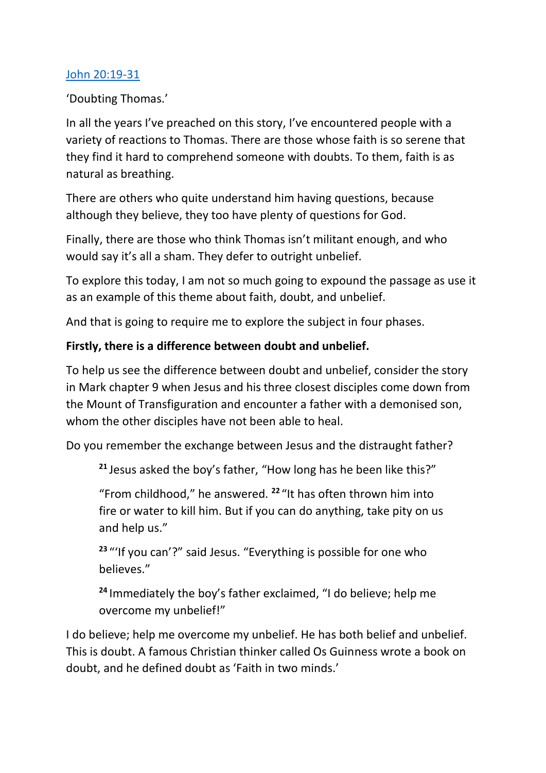### [John 20:19-31](https://www.biblegateway.com/passage/?search=John+20%3A19-31&version=NIV)

'Doubting Thomas.'

In all the years I've preached on this story, I've encountered people with a variety of reactions to Thomas. There are those whose faith is so serene that they find it hard to comprehend someone with doubts. To them, faith is as natural as breathing.

There are others who quite understand him having questions, because although they believe, they too have plenty of questions for God.

Finally, there are those who think Thomas isn't militant enough, and who would say it's all a sham. They defer to outright unbelief.

To explore this today, I am not so much going to expound the passage as use it as an example of this theme about faith, doubt, and unbelief.

And that is going to require me to explore the subject in four phases.

## **Firstly, there is a difference between doubt and unbelief.**

To help us see the difference between doubt and unbelief, consider the story in Mark chapter 9 when Jesus and his three closest disciples come down from the Mount of Transfiguration and encounter a father with a demonised son, whom the other disciples have not been able to heal.

Do you remember the exchange between Jesus and the distraught father?

**<sup>21</sup>** Jesus asked the boy's father, "How long has he been like this?"

"From childhood," he answered. **<sup>22</sup>** "It has often thrown him into fire or water to kill him. But if you can do anything, take pity on us and help us."

**<sup>23</sup>** "'If you can'?" said Jesus. "Everything is possible for one who believes."

**<sup>24</sup>** Immediately the boy's father exclaimed, "I do believe; help me overcome my unbelief!"

I do believe; help me overcome my unbelief. He has both belief and unbelief. This is doubt. A famous Christian thinker called Os Guinness wrote a book on doubt, and he defined doubt as 'Faith in two minds.'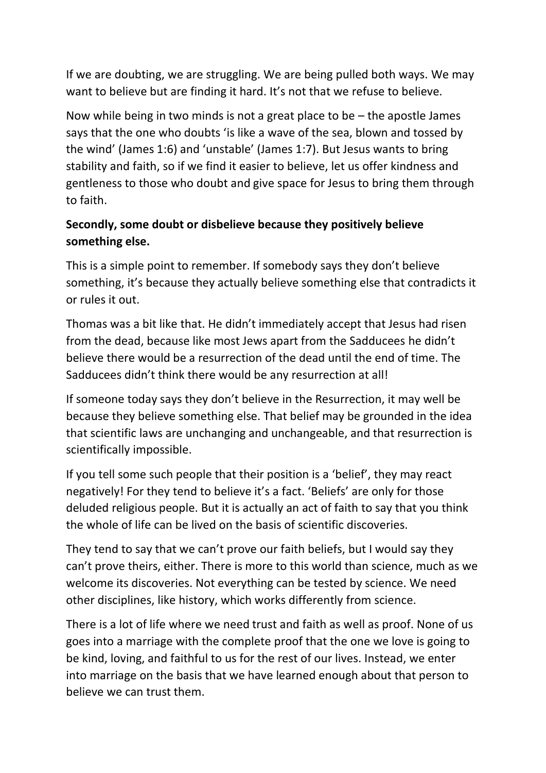If we are doubting, we are struggling. We are being pulled both ways. We may want to believe but are finding it hard. It's not that we refuse to believe.

Now while being in two minds is not a great place to be  $-$  the apostle James says that the one who doubts 'is like a wave of the sea, blown and tossed by the wind' (James 1:6) and 'unstable' (James 1:7). But Jesus wants to bring stability and faith, so if we find it easier to believe, let us offer kindness and gentleness to those who doubt and give space for Jesus to bring them through to faith.

# **Secondly, some doubt or disbelieve because they positively believe something else.**

This is a simple point to remember. If somebody says they don't believe something, it's because they actually believe something else that contradicts it or rules it out.

Thomas was a bit like that. He didn't immediately accept that Jesus had risen from the dead, because like most Jews apart from the Sadducees he didn't believe there would be a resurrection of the dead until the end of time. The Sadducees didn't think there would be any resurrection at all!

If someone today says they don't believe in the Resurrection, it may well be because they believe something else. That belief may be grounded in the idea that scientific laws are unchanging and unchangeable, and that resurrection is scientifically impossible.

If you tell some such people that their position is a 'belief', they may react negatively! For they tend to believe it's a fact. 'Beliefs' are only for those deluded religious people. But it is actually an act of faith to say that you think the whole of life can be lived on the basis of scientific discoveries.

They tend to say that we can't prove our faith beliefs, but I would say they can't prove theirs, either. There is more to this world than science, much as we welcome its discoveries. Not everything can be tested by science. We need other disciplines, like history, which works differently from science.

There is a lot of life where we need trust and faith as well as proof. None of us goes into a marriage with the complete proof that the one we love is going to be kind, loving, and faithful to us for the rest of our lives. Instead, we enter into marriage on the basis that we have learned enough about that person to believe we can trust them.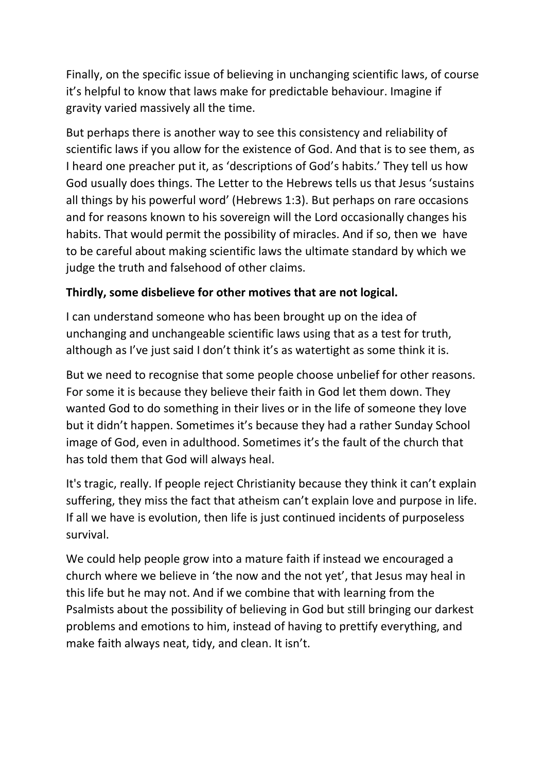Finally, on the specific issue of believing in unchanging scientific laws, of course it's helpful to know that laws make for predictable behaviour. Imagine if gravity varied massively all the time.

But perhaps there is another way to see this consistency and reliability of scientific laws if you allow for the existence of God. And that is to see them, as I heard one preacher put it, as 'descriptions of God's habits.' They tell us how God usually does things. The Letter to the Hebrews tells us that Jesus 'sustains all things by his powerful word' (Hebrews 1:3). But perhaps on rare occasions and for reasons known to his sovereign will the Lord occasionally changes his habits. That would permit the possibility of miracles. And if so, then we have to be careful about making scientific laws the ultimate standard by which we judge the truth and falsehood of other claims.

### **Thirdly, some disbelieve for other motives that are not logical.**

I can understand someone who has been brought up on the idea of unchanging and unchangeable scientific laws using that as a test for truth, although as I've just said I don't think it's as watertight as some think it is.

But we need to recognise that some people choose unbelief for other reasons. For some it is because they believe their faith in God let them down. They wanted God to do something in their lives or in the life of someone they love but it didn't happen. Sometimes it's because they had a rather Sunday School image of God, even in adulthood. Sometimes it's the fault of the church that has told them that God will always heal.

It's tragic, really. If people reject Christianity because they think it can't explain suffering, they miss the fact that atheism can't explain love and purpose in life. If all we have is evolution, then life is just continued incidents of purposeless survival.

We could help people grow into a mature faith if instead we encouraged a church where we believe in 'the now and the not yet', that Jesus may heal in this life but he may not. And if we combine that with learning from the Psalmists about the possibility of believing in God but still bringing our darkest problems and emotions to him, instead of having to prettify everything, and make faith always neat, tidy, and clean. It isn't.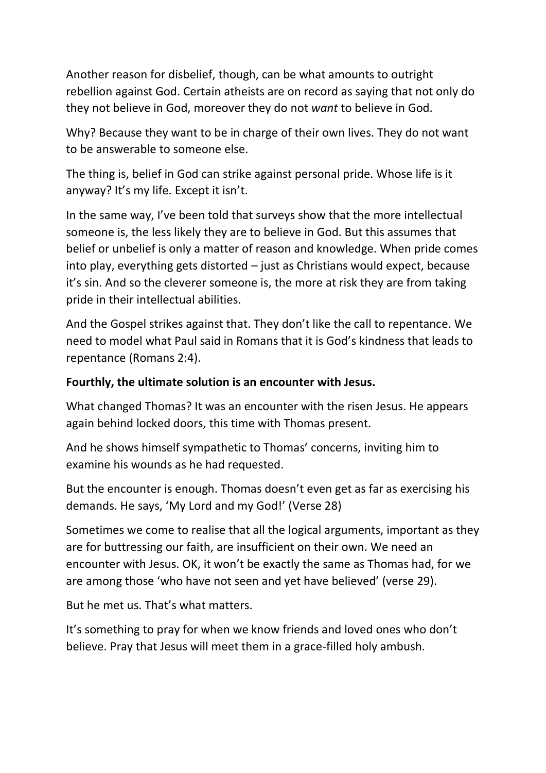Another reason for disbelief, though, can be what amounts to outright rebellion against God. Certain atheists are on record as saying that not only do they not believe in God, moreover they do not *want* to believe in God.

Why? Because they want to be in charge of their own lives. They do not want to be answerable to someone else.

The thing is, belief in God can strike against personal pride. Whose life is it anyway? It's my life. Except it isn't.

In the same way, I've been told that surveys show that the more intellectual someone is, the less likely they are to believe in God. But this assumes that belief or unbelief is only a matter of reason and knowledge. When pride comes into play, everything gets distorted – just as Christians would expect, because it's sin. And so the cleverer someone is, the more at risk they are from taking pride in their intellectual abilities.

And the Gospel strikes against that. They don't like the call to repentance. We need to model what Paul said in Romans that it is God's kindness that leads to repentance (Romans 2:4).

#### **Fourthly, the ultimate solution is an encounter with Jesus.**

What changed Thomas? It was an encounter with the risen Jesus. He appears again behind locked doors, this time with Thomas present.

And he shows himself sympathetic to Thomas' concerns, inviting him to examine his wounds as he had requested.

But the encounter is enough. Thomas doesn't even get as far as exercising his demands. He says, 'My Lord and my God!' (Verse 28)

Sometimes we come to realise that all the logical arguments, important as they are for buttressing our faith, are insufficient on their own. We need an encounter with Jesus. OK, it won't be exactly the same as Thomas had, for we are among those 'who have not seen and yet have believed' (verse 29).

But he met us. That's what matters.

It's something to pray for when we know friends and loved ones who don't believe. Pray that Jesus will meet them in a grace-filled holy ambush.